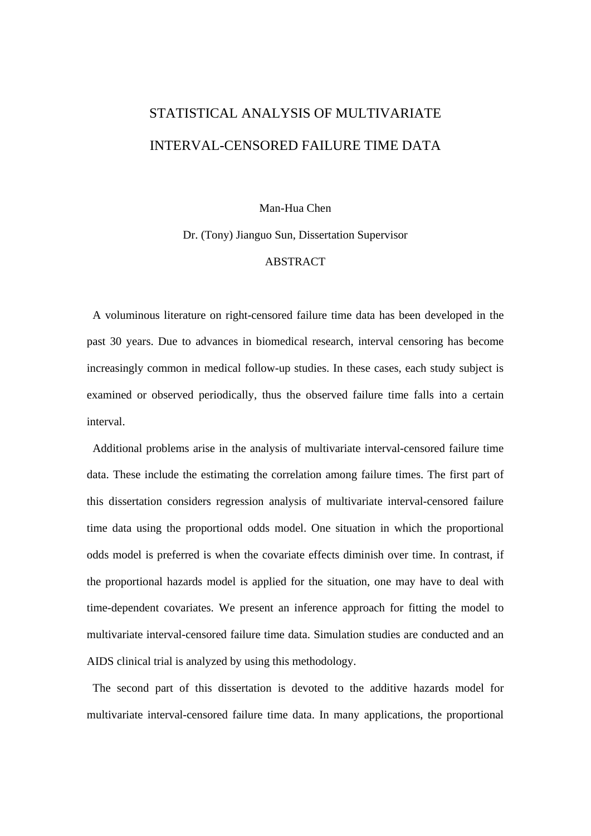## STATISTICAL ANALYSIS OF MULTIVARIATE INTERVAL-CENSORED FAILURE TIME DATA

## Man-Hua Chen

Dr. (Tony) Jianguo Sun, Dissertation Supervisor

## ABSTRACT

 A voluminous literature on right-censored failure time data has been developed in the past 30 years. Due to advances in biomedical research, interval censoring has become increasingly common in medical follow-up studies. In these cases, each study subject is examined or observed periodically, thus the observed failure time falls into a certain interval.

 Additional problems arise in the analysis of multivariate interval-censored failure time data. These include the estimating the correlation among failure times. The first part of this dissertation considers regression analysis of multivariate interval-censored failure time data using the proportional odds model. One situation in which the proportional odds model is preferred is when the covariate effects diminish over time. In contrast, if the proportional hazards model is applied for the situation, one may have to deal with time-dependent covariates. We present an inference approach for fitting the model to multivariate interval-censored failure time data. Simulation studies are conducted and an AIDS clinical trial is analyzed by using this methodology.

 The second part of this dissertation is devoted to the additive hazards model for multivariate interval-censored failure time data. In many applications, the proportional